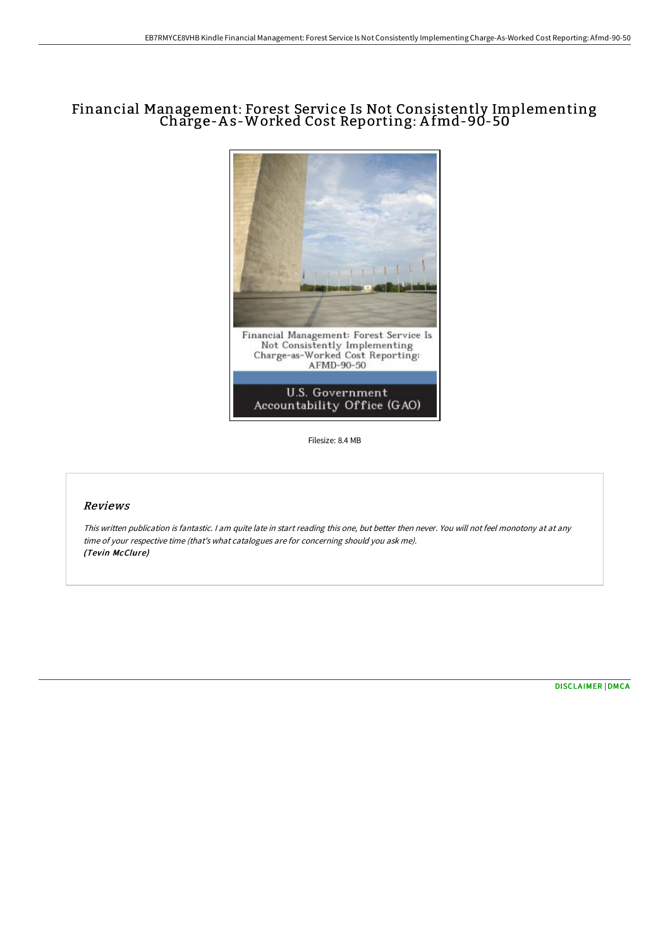# Financial Management: Forest Service Is Not Consistently Implementing Charge-A s-Worked Cost Reporting: A fmd-90-50



Filesize: 8.4 MB

## Reviews

This written publication is fantastic. <sup>I</sup> am quite late in start reading this one, but better then never. You will not feel monotony at at any time of your respective time (that's what catalogues are for concerning should you ask me). (Tevin McClure)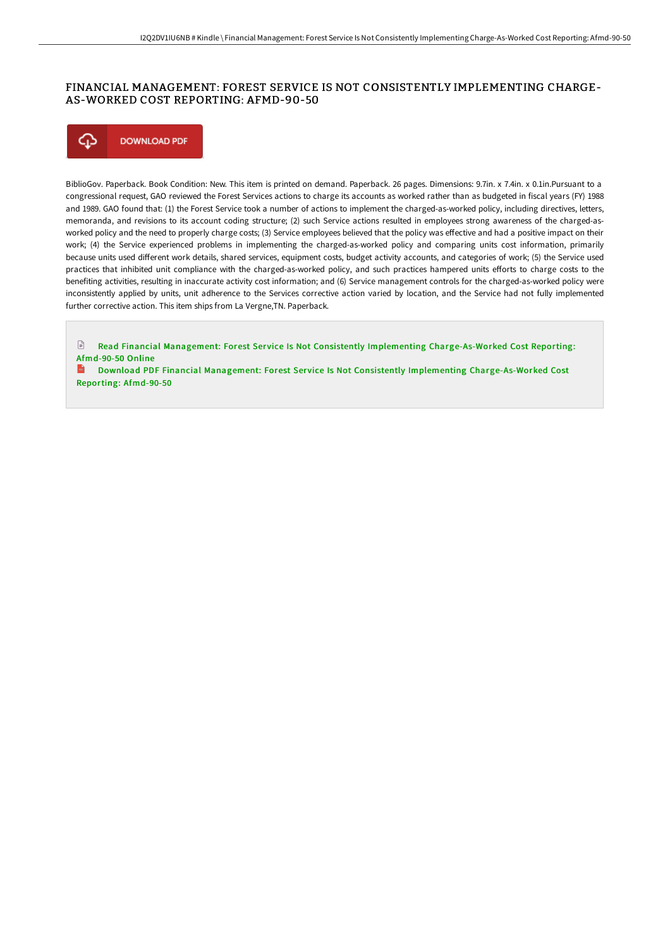# FINANCIAL MANAGEMENT: FOREST SERVICE IS NOT CONSISTENTLY IMPLEMENTING CHARGE-AS-WORKED COST REPORTING: AFMD-90-50



BiblioGov. Paperback. Book Condition: New. This item is printed on demand. Paperback. 26 pages. Dimensions: 9.7in. x 7.4in. x 0.1in.Pursuant to a congressional request, GAO reviewed the Forest Services actions to charge its accounts as worked rather than as budgeted in fiscal years (FY) 1988 and 1989. GAO found that: (1) the Forest Service took a number of actions to implement the charged-as-worked policy, including directives, letters, memoranda, and revisions to its account coding structure; (2) such Service actions resulted in employees strong awareness of the charged-asworked policy and the need to properly charge costs; (3) Service employees believed that the policy was effective and had a positive impact on their work; (4) the Service experienced problems in implementing the charged-as-worked policy and comparing units cost information, primarily because units used different work details, shared services, equipment costs, budget activity accounts, and categories of work; (5) the Service used practices that inhibited unit compliance with the charged-as-worked policy, and such practices hampered units efforts to charge costs to the benefiting activities, resulting in inaccurate activity cost information; and (6) Service management controls for the charged-as-worked policy were inconsistently applied by units, unit adherence to the Services corrective action varied by location, and the Service had not fully implemented further corrective action. This item ships from La Vergne,TN. Paperback.

 $\mathbb{R}$ Read Financial Management: Forest Service Is Not Consistently Implementing [Charge-As-Worked](http://albedo.media/financial-management-forest-service-is-not-consi.html) Cost Reporting: Afmd-90-50 Online

**Download PDF Financial Management: Forest Service Is Not Consistently Implementing [Charge-As-Worked](http://albedo.media/financial-management-forest-service-is-not-consi.html) Cost** Reporting: Afmd-90-50